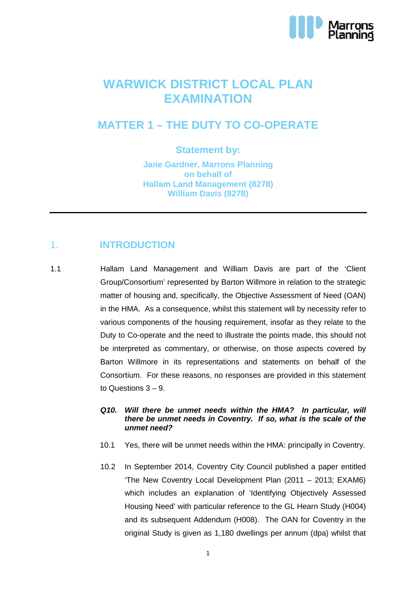

# **WARWICK DISTRICT LOCAL PLAN EXAMINATION**

## **MATTER 1 – THE DUTY TO CO-OPERATE**

### **Statement by:**

**Jane Gardner, Marrons Planning on behalf of Hallam Land Management (8278) William Davis (8278)**

## 1. **INTRODUCTION**

1.1 Hallam Land Management and William Davis are part of the 'Client Group/Consortium' represented by Barton Willmore in relation to the strategic matter of housing and, specifically, the Objective Assessment of Need (OAN) in the HMA. As a consequence, whilst this statement will by necessity refer to various components of the housing requirement, insofar as they relate to the Duty to Co-operate and the need to illustrate the points made, this should not be interpreted as commentary, or otherwise, on those aspects covered by Barton Willmore in its representations and statements on behalf of the Consortium. For these reasons, no responses are provided in this statement to Questions 3 – 9.

#### **Q10. Will there be unmet needs within the HMA? In particular, will there be unmet needs in Coventry. If so, what is the scale of the unmet need?**

- 10.1 Yes, there will be unmet needs within the HMA: principally in Coventry.
- 10.2 In September 2014, Coventry City Council published a paper entitled 'The New Coventry Local Development Plan (2011 – 2013; EXAM6) which includes an explanation of 'Identifying Objectively Assessed Housing Need' with particular reference to the GL Hearn Study (H004) and its subsequent Addendum (H008). The OAN for Coventry in the original Study is given as 1,180 dwellings per annum (dpa) whilst that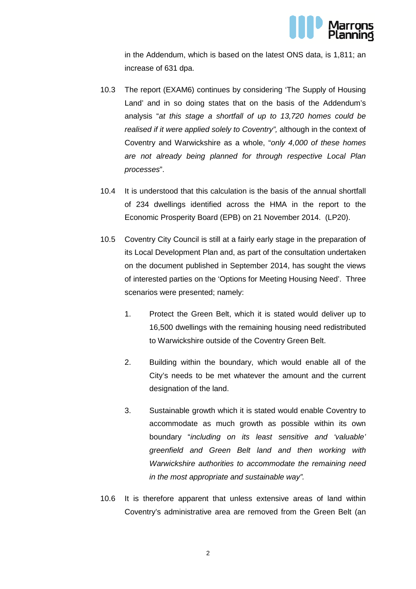

in the Addendum, which is based on the latest ONS data, is 1,811; an increase of 631 dpa.

- 10.3 The report (EXAM6) continues by considering 'The Supply of Housing Land' and in so doing states that on the basis of the Addendum's analysis "at this stage a shortfall of up to 13,720 homes could be realised if it were applied solely to Coventry", although in the context of Coventry and Warwickshire as a whole, "only 4,000 of these homes are not already being planned for through respective Local Plan processes".
- 10.4 It is understood that this calculation is the basis of the annual shortfall of 234 dwellings identified across the HMA in the report to the Economic Prosperity Board (EPB) on 21 November 2014. (LP20).
- 10.5 Coventry City Council is still at a fairly early stage in the preparation of its Local Development Plan and, as part of the consultation undertaken on the document published in September 2014, has sought the views of interested parties on the 'Options for Meeting Housing Need'. Three scenarios were presented; namely:
	- 1. Protect the Green Belt, which it is stated would deliver up to 16,500 dwellings with the remaining housing need redistributed to Warwickshire outside of the Coventry Green Belt.
	- 2. Building within the boundary, which would enable all of the City's needs to be met whatever the amount and the current designation of the land.
	- 3. Sustainable growth which it is stated would enable Coventry to accommodate as much growth as possible within its own boundary "including on its least sensitive and 'valuable' greenfield and Green Belt land and then working with Warwickshire authorities to accommodate the remaining need in the most appropriate and sustainable way".
- 10.6 It is therefore apparent that unless extensive areas of land within Coventry's administrative area are removed from the Green Belt (an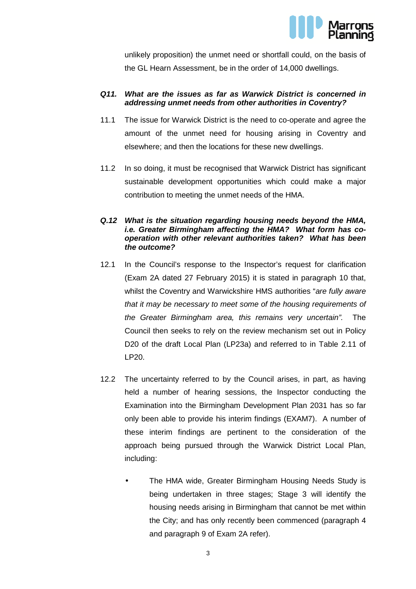

unlikely proposition) the unmet need or shortfall could, on the basis of the GL Hearn Assessment, be in the order of 14,000 dwellings.

#### **Q11. What are the issues as far as Warwick District is concerned in addressing unmet needs from other authorities in Coventry?**

- 11.1 The issue for Warwick District is the need to co-operate and agree the amount of the unmet need for housing arising in Coventry and elsewhere; and then the locations for these new dwellings.
- 11.2 In so doing, it must be recognised that Warwick District has significant sustainable development opportunities which could make a major contribution to meeting the unmet needs of the HMA.

#### **Q.12 What is the situation regarding housing needs beyond the HMA, i.e. Greater Birmingham affecting the HMA? What form has cooperation with other relevant authorities taken? What has been the outcome?**

- 12.1 In the Council's response to the Inspector's request for clarification (Exam 2A dated 27 February 2015) it is stated in paragraph 10 that, whilst the Coventry and Warwickshire HMS authorities "are fully aware that it may be necessary to meet some of the housing requirements of the Greater Birmingham area, this remains very uncertain". The Council then seeks to rely on the review mechanism set out in Policy D20 of the draft Local Plan (LP23a) and referred to in Table 2.11 of LP20.
- 12.2 The uncertainty referred to by the Council arises, in part, as having held a number of hearing sessions, the Inspector conducting the Examination into the Birmingham Development Plan 2031 has so far only been able to provide his interim findings (EXAM7). A number of these interim findings are pertinent to the consideration of the approach being pursued through the Warwick District Local Plan, including:
	- The HMA wide, Greater Birmingham Housing Needs Study is being undertaken in three stages; Stage 3 will identify the housing needs arising in Birmingham that cannot be met within the City; and has only recently been commenced (paragraph 4 and paragraph 9 of Exam 2A refer).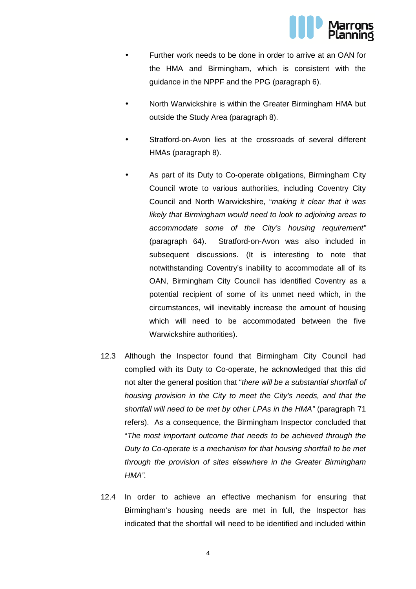

- Further work needs to be done in order to arrive at an OAN for the HMA and Birmingham, which is consistent with the guidance in the NPPF and the PPG (paragraph 6).
- North Warwickshire is within the Greater Birmingham HMA but outside the Study Area (paragraph 8).
- Stratford-on-Avon lies at the crossroads of several different HMAs (paragraph 8).
- As part of its Duty to Co-operate obligations, Birmingham City Council wrote to various authorities, including Coventry City Council and North Warwickshire, "making it clear that it was likely that Birmingham would need to look to adjoining areas to accommodate some of the City's housing requirement" (paragraph 64). Stratford-on-Avon was also included in subsequent discussions. (It is interesting to note that notwithstanding Coventry's inability to accommodate all of its OAN, Birmingham City Council has identified Coventry as a potential recipient of some of its unmet need which, in the circumstances, will inevitably increase the amount of housing which will need to be accommodated between the five Warwickshire authorities).
- 12.3 Although the Inspector found that Birmingham City Council had complied with its Duty to Co-operate, he acknowledged that this did not alter the general position that "there will be a substantial shortfall of housing provision in the City to meet the City's needs, and that the shortfall will need to be met by other LPAs in the HMA" (paragraph 71 refers). As a consequence, the Birmingham Inspector concluded that "The most important outcome that needs to be achieved through the Duty to Co-operate is a mechanism for that housing shortfall to be met through the provision of sites elsewhere in the Greater Birmingham HMA".
- 12.4 In order to achieve an effective mechanism for ensuring that Birmingham's housing needs are met in full, the Inspector has indicated that the shortfall will need to be identified and included within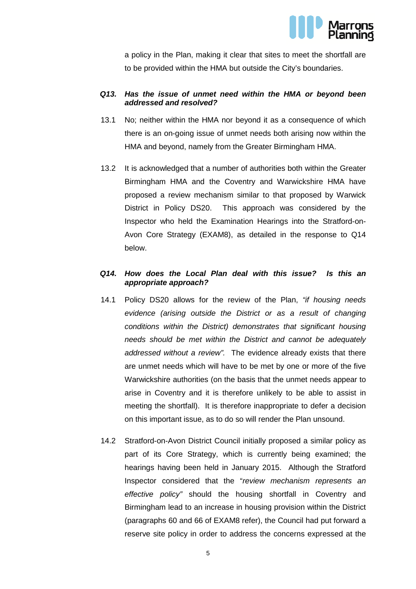

a policy in the Plan, making it clear that sites to meet the shortfall are to be provided within the HMA but outside the City's boundaries.

#### **Q13. Has the issue of unmet need within the HMA or beyond been addressed and resolved?**

- 13.1 No; neither within the HMA nor beyond it as a consequence of which there is an on-going issue of unmet needs both arising now within the HMA and beyond, namely from the Greater Birmingham HMA.
- 13.2 It is acknowledged that a number of authorities both within the Greater Birmingham HMA and the Coventry and Warwickshire HMA have proposed a review mechanism similar to that proposed by Warwick District in Policy DS20. This approach was considered by the Inspector who held the Examination Hearings into the Stratford-on-Avon Core Strategy (EXAM8), as detailed in the response to Q14 below.

#### **Q14. How does the Local Plan deal with this issue? Is this an appropriate approach?**

- 14.1 Policy DS20 allows for the review of the Plan, "if housing needs evidence (arising outside the District or as a result of changing conditions within the District) demonstrates that significant housing needs should be met within the District and cannot be adequately addressed without a review". The evidence already exists that there are unmet needs which will have to be met by one or more of the five Warwickshire authorities (on the basis that the unmet needs appear to arise in Coventry and it is therefore unlikely to be able to assist in meeting the shortfall). It is therefore inappropriate to defer a decision on this important issue, as to do so will render the Plan unsound.
- 14.2 Stratford-on-Avon District Council initially proposed a similar policy as part of its Core Strategy, which is currently being examined; the hearings having been held in January 2015. Although the Stratford Inspector considered that the "review mechanism represents an effective policy" should the housing shortfall in Coventry and Birmingham lead to an increase in housing provision within the District (paragraphs 60 and 66 of EXAM8 refer), the Council had put forward a reserve site policy in order to address the concerns expressed at the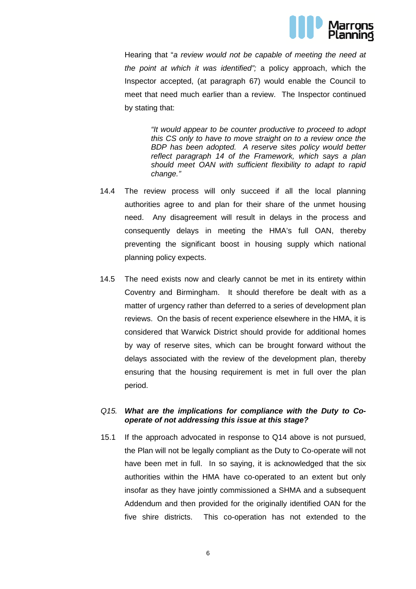

Hearing that "a review would not be capable of meeting the need at the point at which it was identified"; a policy approach, which the Inspector accepted, (at paragraph 67) would enable the Council to meet that need much earlier than a review. The Inspector continued by stating that:

> "It would appear to be counter productive to proceed to adopt this CS only to have to move straight on to a review once the BDP has been adopted. A reserve sites policy would better reflect paragraph 14 of the Framework, which says a plan should meet OAN with sufficient flexibility to adapt to rapid change."

- 14.4 The review process will only succeed if all the local planning authorities agree to and plan for their share of the unmet housing need. Any disagreement will result in delays in the process and consequently delays in meeting the HMA's full OAN, thereby preventing the significant boost in housing supply which national planning policy expects.
- 14.5 The need exists now and clearly cannot be met in its entirety within Coventry and Birmingham. It should therefore be dealt with as a matter of urgency rather than deferred to a series of development plan reviews. On the basis of recent experience elsewhere in the HMA, it is considered that Warwick District should provide for additional homes by way of reserve sites, which can be brought forward without the delays associated with the review of the development plan, thereby ensuring that the housing requirement is met in full over the plan period.

#### Q15. **What are the implications for compliance with the Duty to Cooperate of not addressing this issue at this stage?**

15.1 If the approach advocated in response to Q14 above is not pursued, the Plan will not be legally compliant as the Duty to Co-operate will not have been met in full. In so saving, it is acknowledged that the six authorities within the HMA have co-operated to an extent but only insofar as they have jointly commissioned a SHMA and a subsequent Addendum and then provided for the originally identified OAN for the five shire districts. This co-operation has not extended to the